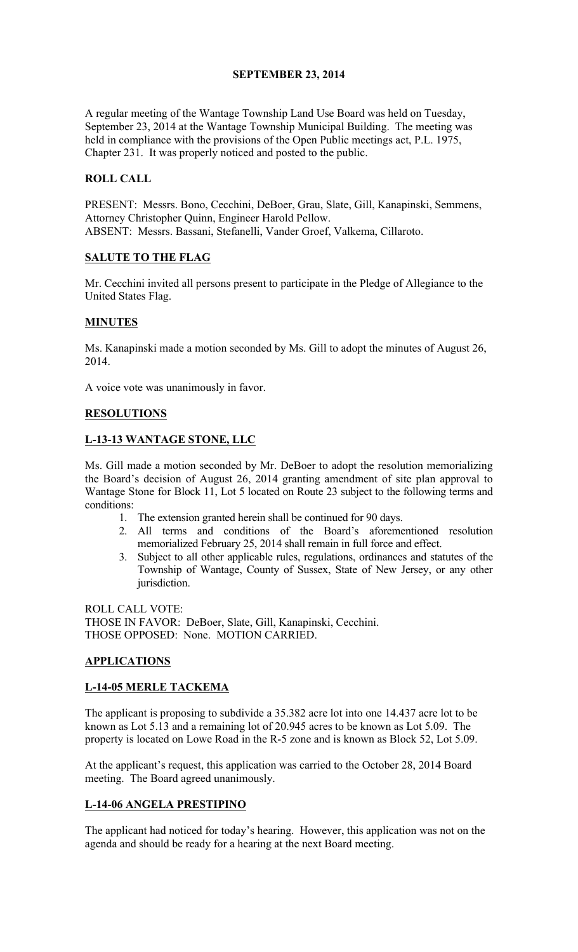# SEPTEMBER 23, 2014

A regular meeting of the Wantage Township Land Use Board was held on Tuesday, September 23, 2014 at the Wantage Township Municipal Building. The meeting was held in compliance with the provisions of the Open Public meetings act, P.L. 1975, Chapter 231. It was properly noticed and posted to the public.

# ROLL CALL

PRESENT: Messrs. Bono, Cecchini, DeBoer, Grau, Slate, Gill, Kanapinski, Semmens, Attorney Christopher Quinn, Engineer Harold Pellow. ABSENT: Messrs. Bassani, Stefanelli, Vander Groef, Valkema, Cillaroto.

### SALUTE TO THE FLAG

Mr. Cecchini invited all persons present to participate in the Pledge of Allegiance to the United States Flag.

### MINUTES

Ms. Kanapinski made a motion seconded by Ms. Gill to adopt the minutes of August 26, 2014.

A voice vote was unanimously in favor.

# RESOLUTIONS

# L-13-13 WANTAGE STONE, LLC

Ms. Gill made a motion seconded by Mr. DeBoer to adopt the resolution memorializing the Board's decision of August 26, 2014 granting amendment of site plan approval to Wantage Stone for Block 11, Lot 5 located on Route 23 subject to the following terms and conditions:

- 1. The extension granted herein shall be continued for 90 days.
- 2. All terms and conditions of the Board's aforementioned resolution memorialized February 25, 2014 shall remain in full force and effect.
- 3. Subject to all other applicable rules, regulations, ordinances and statutes of the Township of Wantage, County of Sussex, State of New Jersey, or any other jurisdiction.

ROLL CALL VOTE: THOSE IN FAVOR: DeBoer, Slate, Gill, Kanapinski, Cecchini. THOSE OPPOSED: None. MOTION CARRIED.

# **APPLICATIONS**

### L-14-05 MERLE TACKEMA

The applicant is proposing to subdivide a 35.382 acre lot into one 14.437 acre lot to be known as Lot 5.13 and a remaining lot of 20.945 acres to be known as Lot 5.09. The property is located on Lowe Road in the R-5 zone and is known as Block 52, Lot 5.09.

At the applicant's request, this application was carried to the October 28, 2014 Board meeting. The Board agreed unanimously.

### L-14-06 ANGELA PRESTIPINO

The applicant had noticed for today's hearing. However, this application was not on the agenda and should be ready for a hearing at the next Board meeting.